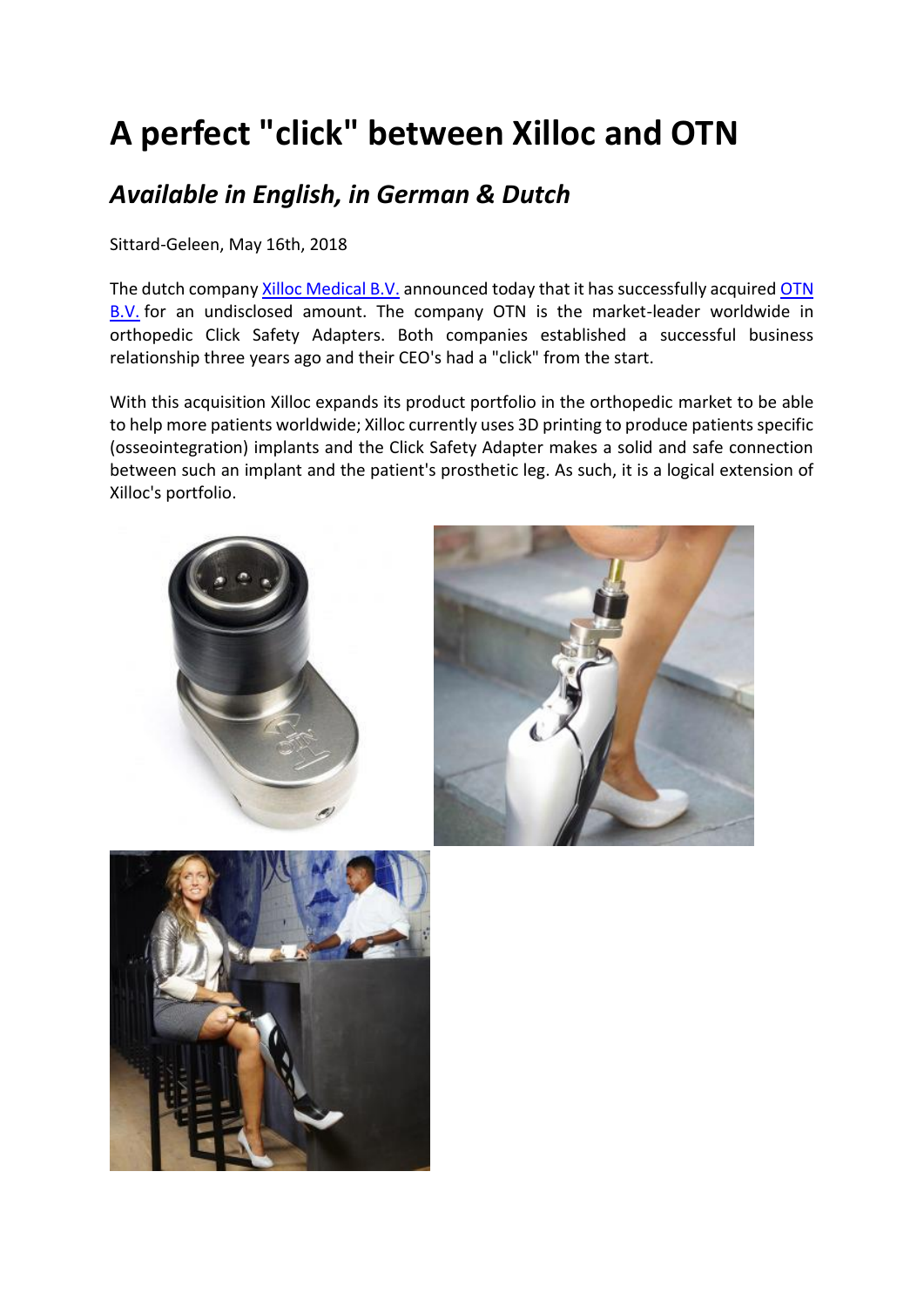# **A perfect "click" between Xilloc and OTN**

# *Available in English, in German & Dutch*

Sittard-Geleen, May 16th, 2018

The dutch company [Xilloc Medical B.V.](http://www.xilloc.com/) announced today that it has successfully acquired [OTN](http://www.osseointegration.nl/)  [B.V.](http://www.osseointegration.nl/) for an undisclosed amount. The company OTN is the market-leader worldwide in orthopedic Click Safety Adapters. Both companies established a successful business relationship three years ago and their CEO's had a "click" from the start.

With this acquisition Xilloc expands its product portfolio in the orthopedic market to be able to help more patients worldwide; Xilloc currently uses 3D printing to produce patients specific (osseointegration) implants and the Click Safety Adapter makes a solid and safe connection between such an implant and the patient's prosthetic leg. As such, it is a logical extension of Xilloc's portfolio.

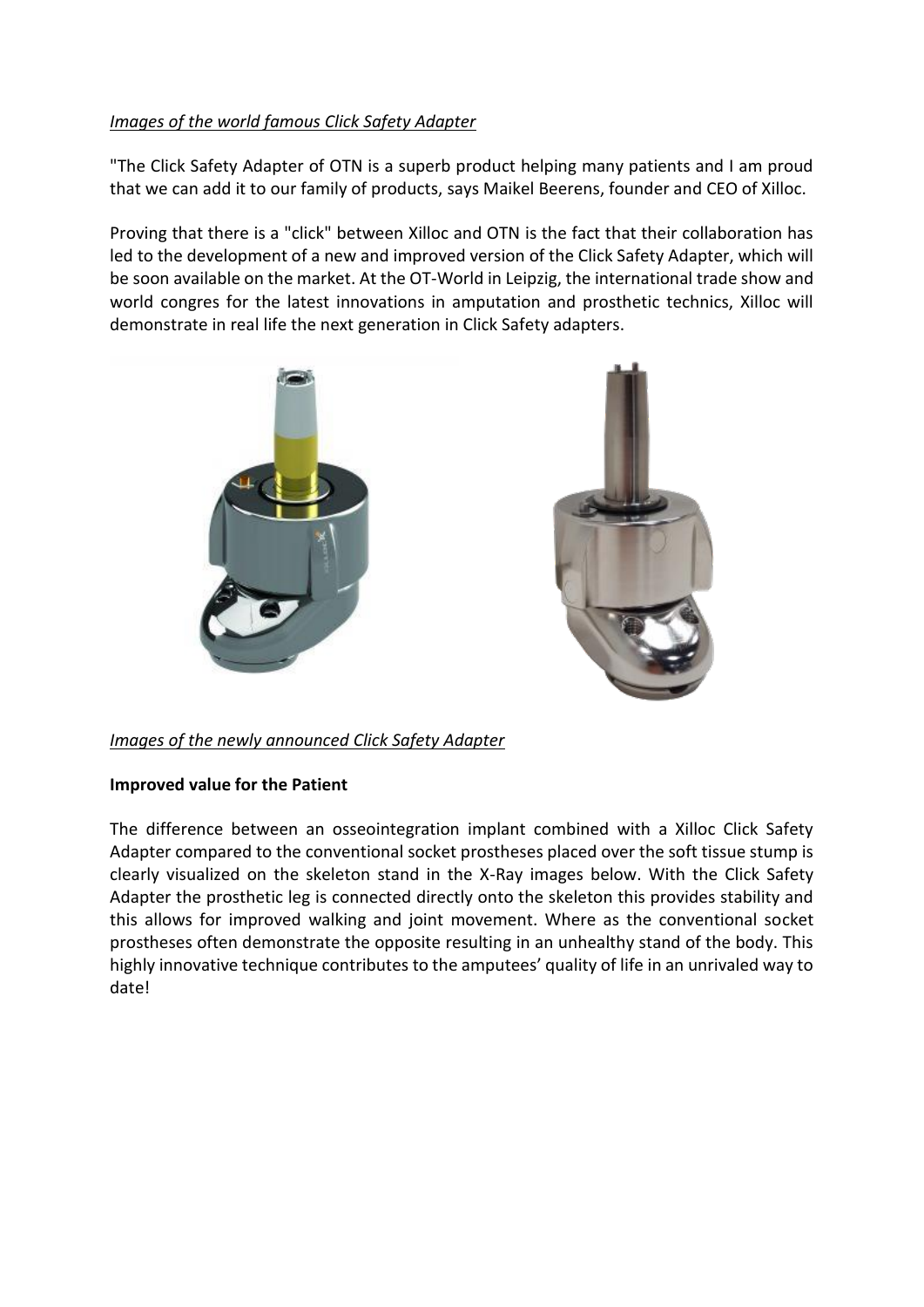# *Images of the world famous Click Safety Adapter*

"The Click Safety Adapter of OTN is a superb product helping many patients and I am proud that we can add it to our family of products, says Maikel Beerens, founder and CEO of Xilloc.

Proving that there is a "click" between Xilloc and OTN is the fact that their collaboration has led to the development of a new and improved version of the Click Safety Adapter, which will be soon available on the market. At the OT-World in Leipzig, the international trade show and world congres for the latest innovations in amputation and prosthetic technics, Xilloc will demonstrate in real life the next generation in Click Safety adapters.



# *Images of the newly announced Click Safety Adapter*

#### **Improved value for the Patient**

The difference between an osseointegration implant combined with a Xilloc Click Safety Adapter compared to the conventional socket prostheses placed over the soft tissue stump is clearly visualized on the skeleton stand in the X-Ray images below. With the Click Safety Adapter the prosthetic leg is connected directly onto the skeleton this provides stability and this allows for improved walking and joint movement. Where as the conventional socket prostheses often demonstrate the opposite resulting in an unhealthy stand of the body. This highly innovative technique contributes to the amputees' quality of life in an unrivaled way to date!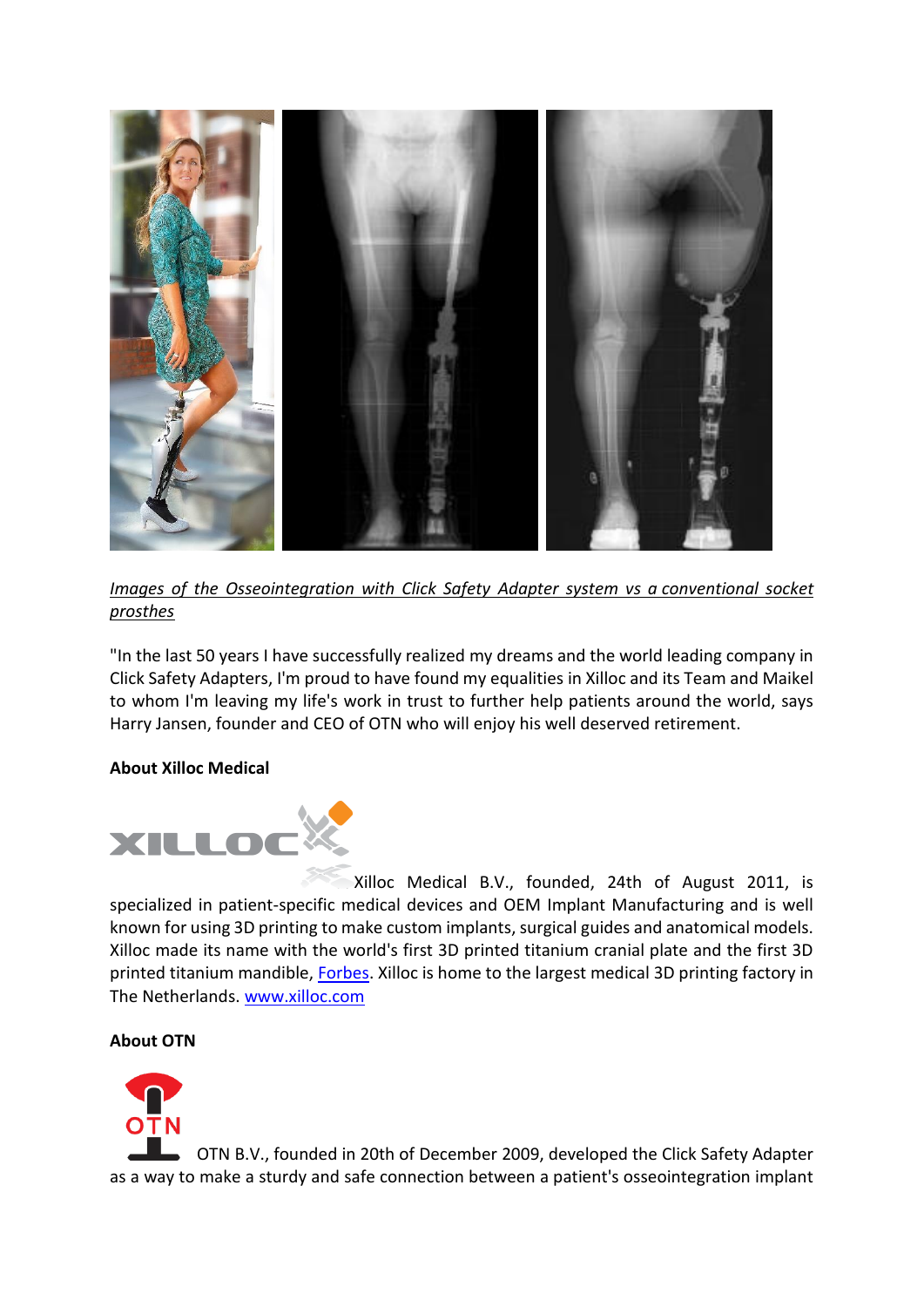

*Images of the Osseointegration with Click Safety Adapter system vs a conventional socket prosthes*

"In the last 50 years I have successfully realized my dreams and the world leading company in Click Safety Adapters, I'm proud to have found my equalities in Xilloc and its Team and Maikel to whom I'm leaving my life's work in trust to further help patients around the world, says Harry Jansen, founder and CEO of OTN who will enjoy his well deserved retirement.

#### **About Xilloc Medical**



Xilloc Medical B.V., founded, 24th of August 2011, is specialized in patient-specific medical devices and OEM Implant Manufacturing and is well known for using 3D printing to make custom implants, surgical guides and anatomical models. Xilloc made its name with the world's first 3D printed titanium cranial plate and the first 3D printed titanium mandible, [Forbes.](http://www.forbes.com/sites/alexknapp/2012/02/05/woman-has-jaw-replaced-with-3-d-printed-model/) Xilloc is home to the largest medical 3D printing factory in The Netherlands. [www.xilloc.com](http://www.xilloc.com/)

# **About OTN**



OTN B.V., founded in 20th of December 2009, developed the Click Safety Adapter as a way to make a sturdy and safe connection between a patient's osseointegration implant